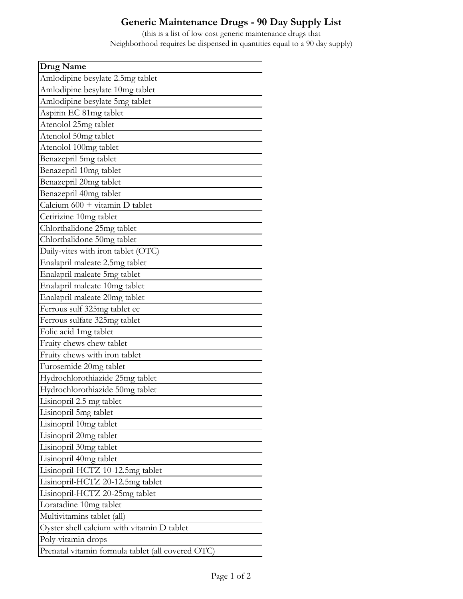## **Generic Maintenance Drugs - 90 Day Supply List**

(this is a list of low cost generic maintenance drugs that Neighborhood requires be dispensed in quantities equal to a 90 day supply)

| Drug Name                                              |
|--------------------------------------------------------|
| Amlodipine besylate 2.5mg tablet                       |
| Amlodipine besylate 10mg tablet                        |
| Amlodipine besylate 5mg tablet                         |
| Aspirin EC 81mg tablet                                 |
| Atenolol 25mg tablet                                   |
| Atenolol 50mg tablet                                   |
| Atenolol 100mg tablet                                  |
| Benazepril 5mg tablet                                  |
| Benazepril 10mg tablet                                 |
| Benazepril 20mg tablet                                 |
| Benazepril 40mg tablet                                 |
| Calcium $600 + \text{vitamin} \text{ D } \text{table}$ |
| Cetirizine 10mg tablet                                 |
| Chlorthalidone 25mg tablet                             |
| Chlorthalidone 50mg tablet                             |
| Daily-vites with iron tablet (OTC)                     |
| Enalapril maleate 2.5mg tablet                         |
| Enalapril maleate 5mg tablet                           |
| Enalapril maleate 10mg tablet                          |
| Enalapril maleate 20mg tablet                          |
| Ferrous sulf 325mg tablet ec                           |
| Ferrous sulfate 325mg tablet                           |
| Folic acid 1mg tablet                                  |
| Fruity chews chew tablet                               |
| Fruity chews with iron tablet                          |
| Furosemide 20mg tablet                                 |
| Hydrochlorothiazide 25mg tablet                        |
| Hydrochlorothiazide 50mg tablet                        |
| Lisinopril 2.5 mg tablet                               |
| Lisinopril 5mg tablet                                  |
| Lisinopril 10mg tablet                                 |
| Lisinopril 20mg tablet                                 |
| Lisinopril 30mg tablet                                 |
| Lisinopril 40mg tablet                                 |
| Lisinopril-HCTZ 10-12.5mg tablet                       |
| Lisinopril-HCTZ 20-12.5mg tablet                       |
| Lisinopril-HCTZ 20-25mg tablet                         |
| Loratadine 10mg tablet                                 |
| Multivitamins tablet (all)                             |
| Oyster shell calcium with vitamin D tablet             |
| Poly-vitamin drops                                     |
| Prenatal vitamin formula tablet (all covered OTC)      |